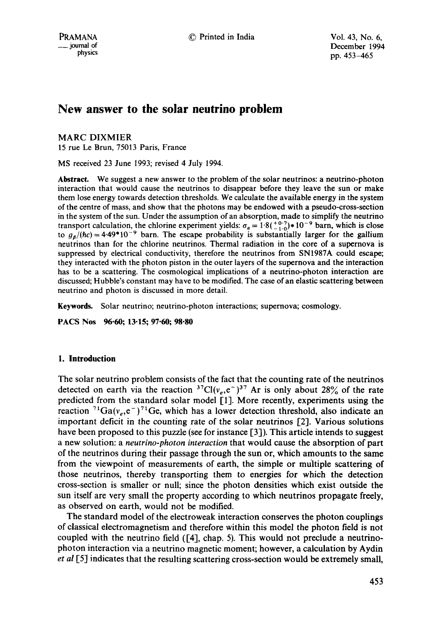# **New answer to the solar neutrino problem**

MARC DIXMIER

15 rue Le Brun, 75013 Paris, France

MS received 23 June 1993; revised 4 July 1994.

**Abstract.** We suggest a new answer to the problem of the solar neutrinos: a neutrino-photon interaction that would cause the neutrinos to disappear before they leave the sun or make them lose energy towards detection thresholds. We calculate the available energy in the system of the centre of mass, and show that the photons may be endowed with a pseudo-cross-section in the system of the sun. Under the assumption of an absorption, made to simplify the neutrino transport calculation, the chlorine experiment yields:  $\sigma_a = 1.8(\frac{+0.7}{1.0}) \times 10^{-9}$  barn, which is close to  $g_g/(hc) = 4.49*10^{-9}$  barn. The escape probability is substantially larger for the gallium neutrinos than for the chlorine neutrinos. Thermal radiation in the core of a supernova is suppressed by electrical conductivity, therefore the neutrinos from SN1987A could escape; they interacted with the photon piston in the outer layers of the supernova and the interaction has to be a scattering. The cosmological implications of a neutrino-photon interaction are discussed; Hubble's constant may have to be modified. The case of an elastic scattering between neutrino and photon is discussed in more detail.

Keywords. Solar neutrino; neutrino-photon interactions; supernova; cosmology.

**PACS Nos 96.60; 13-15; 97-60; 98"80** 

# **1. Introduction**

The solar neutrino problem consists of the fact that the counting rate of the neutrinos detected on earth via the reaction  ${}^{37}Cl(v_e,e^-)^{37}$  Ar is only about 28% of the rate predicted from the standard solar model [1]. More recently, experiments using the reaction  ${}^{71}Ga(v_{\sigma},e^{-}){}^{71}Ge$ , which has a lower detection threshold, also indicate an important deficit in the counting rate of the solar neutrinos [2]. Various solutions have been proposed to this puzzle (see for instance [3]). This article intends to suggest a new solution: a *neutrino-photon interaction* that would cause the absorption of part of the neutrinos during their passage through the sun or, which amounts to the same from the viewpoint of measurements of earth, the simple or multiple scattering of those neutrinos, thereby transporting them to energies for which the detection cross-section is smaller or null; since the photon densities which exist outside the sun itself are very small the property according to which neutrinos propagate freely, as observed on earth, would not be modified.

The standard model of the electroweak interaction conserves the photon couplings of classical electromagnetism and therefore within this model the photon field is not coupled with the neutrino field ([4], chap. 5). This would not preclude a neutrinophoton interaction via a neutrino magnetic moment; however, a calculation by Aydin *et al* [5] indicates that the resulting scattering cross-section would be extremely small,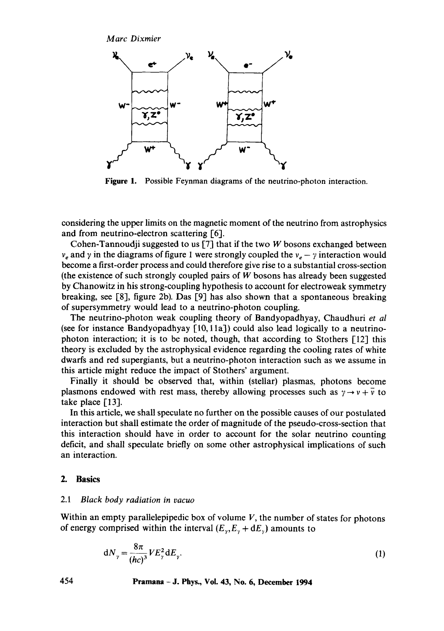*Marc Dixmier* 



**Figure I.** Possible Feynman diagrams of the neutrino-photon interaction.

considering the upper limits on the magnetic moment of the neutrino from astrophysics and from neutrino-electron scattering [6].

Cohen-Tannoudji suggested to us [7] that if the two W bosons exchanged between  $v_e$  and  $\gamma$  in the diagrams of figure 1 were strongly coupled the  $v_e - \gamma$  interaction would become a first-order process and could therefore give rise to a substantial cross-section (the existence of such strongly coupled pairs of  $W$  bosons has already been suggested by Chanowitz in his strong-coupling hypothesis to account for electroweak symmetry breaking, see [8], figure 2b). Das [9] has also shown that a spontaneous breaking of supersymmetry would lead to a neutrino-photon coupling.

The neutrino-photon weak coupling theory of Bandyopadhyay, Chaudhuri *et al*  (see for instance Bandyopadhyay  $[10, 11a]$ ) could also lead logically to a neutrinophoton interaction; it is to be noted, though, that according to Stothers [12] this theory is excluded by the astrophysical evidence regarding the cooling rates of white dwarfs and red supergiants, but a neutrino-photon interaction such as we assume in this article might reduce the impact of Stothers' argument.

Finally it should be observed that, within (stellar) plasmas, photons become plasmons endowed with rest mass, thereby allowing processes such as  $\gamma \rightarrow \gamma + \overline{\gamma}$  to take place [13].

In this article, we shall speculate no further on the possible causes of our postulated interaction but shall estimate the order of magnitude of the pseudo-cross-section that this interaction should have in order to account for the solar neutrino counting deficit, and shall speculate briefly on some other astrophysical implications of such an interaction.

# **2. Basics**

#### 2.1 *Black body radiation in vacuo*

Within an empty parallelepipedic box of volume  $V$ , the number of states for photons of energy comprised within the interval  $(E_{\gamma}, E_{\gamma} + dE_{\gamma})$  amounts to

$$
dN_{\gamma} = \frac{8\pi}{(hc)^3} VE_{\gamma}^2 dE_{\gamma}.
$$
 (1)

**454 Pramana - J. Phys., Vol. 43, No. 6, December 1994**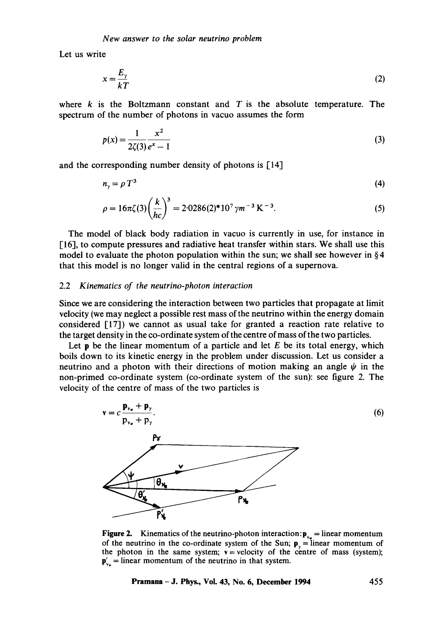Let us write

$$
x = \frac{E_{\gamma}}{kT} \tag{2}
$$

where  $k$  is the Boltzmann constant and  $T$  is the absolute temperature. The spectrum of the number of photons in vacuo assumes the form

$$
p(x) = \frac{1}{2\zeta(3)} \frac{x^2}{e^x - 1}
$$
 (3)

and the corresponding number density of photons is [14]

$$
n_{\gamma} = \rho \, T^3 \tag{4}
$$

$$
\rho = 16\pi\zeta(3)\left(\frac{k}{hc}\right)^3 = 2.0286(2)^*10^7 \,\gamma m^{-3} \,\text{K}^{-3}.\tag{5}
$$

The model of black body radiation in vacuo is currently in use, for instance in [16], to compute pressures and radiative heat transfer within stars. We shall use this model to evaluate the photon population within the sun; we shall see however in  $\S 4$ that this model is no longer valid in the central regions of a supernova.

#### 2.2 *Kinematics of the neutrino-photon interaction*

Since we are considering the interaction between two particles that propagate at limit velocity (we may neglect a possible rest mass of the neutrino within the energy domain considered [17]) we cannot as usual take for granted a reaction rate relative to the target density in the co-ordinate system of the centre of mass of the two particles.

Let **p** be the linear momentum of a particle and let  $E$  be its total energy, which boils down to its kinetic energy in the problem under discussion. Let us consider a neutrino and a photon with their directions of motion making an angle  $\psi$  in the non-primed co-ordinate system (co-ordinate system of the sun): see figure 2. The velocity of the centre of mass of the two particles is



**Figure 2.** Kinematics of the neutrino-photon interaction: $\mathbf{p}_{v_e}$  = linear momentum of the neutrino in the co-ordinate system of the Sun;  $\mathbf{p}_y = \text{linear momentum of}$ the photon in the same system;  $v =$  velocity of the centre of mass (system);  $\mathbf{p}'_{n}$  = linear momentum of the neutrino in that system.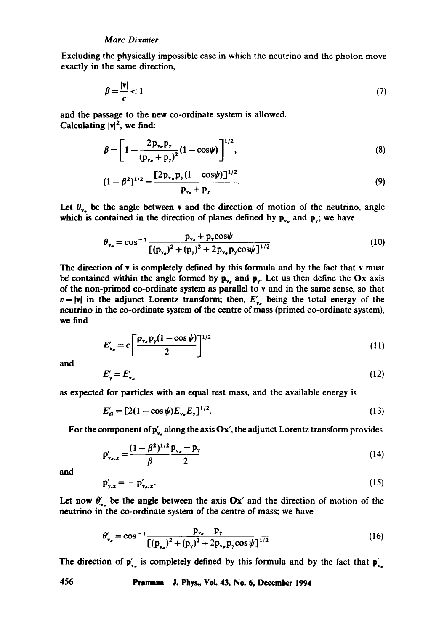Excluding the physically impossible case in which the neutrino and the photon move exactly in the same direction,

$$
\beta = \frac{|\mathbf{v}|}{c} < 1\tag{7}
$$

and the passage to the new co-ordinate system is allowed. Calculating  $|v|^2$ , we find:

$$
\beta = \left[1 - \frac{2p_{v_{*}}p_{y}}{(p_{v_{*}} + p_{y})^{2}}(1 - \cos \psi)\right]^{1/2},
$$
\n(8)

$$
(1 - \beta^2)^{1/2} = \frac{[2p_{v_*}p_{\gamma}(1 - \cos\psi)]^{1/2}}{p_{v_*} + p_{\gamma}}.
$$
\n(9)

Let  $\theta_{\nu_a}$  be the angle between v and the direction of motion of the neutrino, angle which is contained in the direction of planes defined by  $p_{v_a}$  and  $p_{v_i}$ ; we have

$$
\theta_{v_e} = \cos^{-1} \frac{p_{v_e} + p_{y} \cos \psi}{[(p_{v_e})^2 + (p_{y})^2 + 2p_{v_e} p_{y} \cos \psi]^{1/2}}
$$
(10)

The direction of v is completely defined by this formula and by the fact that v must be contained within the angle formed by  $p_{\nu}$  and  $p_{\nu}$ . Let us then define the Ox axis of thc non-primed co-ordinate system as parallel to v and in the same sense, so that  $v = |\mathbf{v}|$  in the adjunct Lorentz transform; then,  $E'_{v_e}$  being the total energy of the neutrino in thc co-ordinate system of the centre of mass (primed co-ordinate system), we find

$$
E'_{\nu_e} = c \left[ \frac{p_{\nu_e} p_\gamma (1 - \cos \psi)}{2} \right]^{1/2} \tag{11}
$$

and

$$
E'_{\nu} = E'_{\nu_{\tau}} \tag{12}
$$

as expected for particles with an equal rest mass, and the available energy is

$$
E'_{G} = [2(1 - \cos \psi)E_{v_{e}}E_{y}]^{1/2}.
$$
 (13)

For the component of  $\mathbf{p}'_{x}$  along the axis Ox', the adjunct Lorentz transform provides

$$
p'_{v_{\sigma},x} = \frac{(1 - \beta^2)^{1/2} p_{v_{\sigma}} - p_{y}}{\beta}
$$
 (14)

and

$$
\mathbf{p}'_{\mathbf{y},\mathbf{x}} = -\mathbf{p}'_{\mathbf{v}_{\mathbf{e}},\mathbf{x}}.\tag{15}
$$

Let now  $\theta'$ , be the angle between the axis Ox' and the direction of motion of the neutrino in the co-ordinate system of the centre of mass; we have

$$
\theta'_{\mathbf{v}_e} = \cos^{-1} \frac{\mathbf{p}_{\mathbf{v}_e} - \mathbf{p}_{\mathbf{y}}}{\left[ (\mathbf{p}_{\mathbf{v}_e})^2 + (\mathbf{p}_{\mathbf{y}})^2 + 2 \mathbf{p}_{\mathbf{v}_e} \mathbf{p}_{\mathbf{y}} \cos \psi \right]^{1/2}}.
$$
 (16)

The direction of  $p'_{y}$  is completely defined by this formula and by the fact that  $p'_{y}$ .

**456 Pramana - J. Phys., VoL 43, No+ 6, December 1994**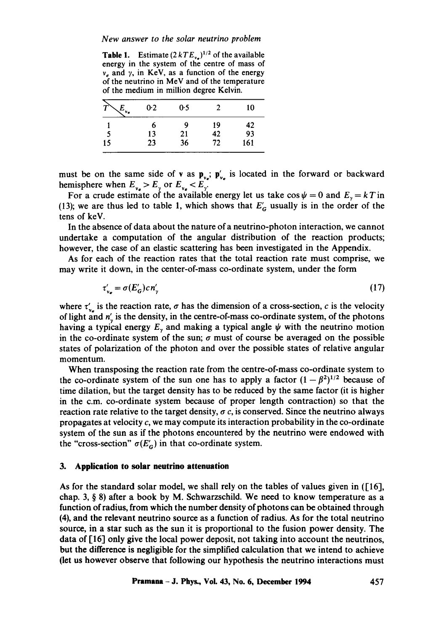*New answer to the solar neutrino problem* 

**Table 1.** Estimate  $(2 kTE_{\nu_e})^{1/2}$  of the available energy in the system of the centre of mass of  $v_e$  and  $\gamma$ , in KeV, as a function of the energy of the neutrino in MeV and of the temperature of the medium in million degree Kelvin.

| ٧e | 0.2 | 0.5 | າ  | 10  |
|----|-----|-----|----|-----|
|    | ł,  | Q   | 19 | 42  |
|    | 13  | 21  | 42 | 93  |
| 15 | 23  | 36  | 72 | 161 |

must be on the same side of v as  $\mathbf{p}_{v_e}$ ;  $\mathbf{p}'_{v_e}$  is located in the forward or backward hemisphere when  $E_{v_e} > E_{v}$  or  $E_{v_e} < E_{v}$ .

For a crude estimate of the available energy let us take  $\cos \psi = 0$  and  $E_y = kT$  in (13); we are thus led to table 1, which shows that  $E'_{\sigma}$  usually is in the order of the tens of keV.

In the absence of data about the nature of a neutrino-photon interaction, we cannot undertake a computation of the angular distribution of the reaction products; however, the case of an elastic scattering has been investigated in the Appendix.

As for each of the reaction rates that the total reaction rate must comprise, we may write it down, in the center-of-mass co-ordinate system, under the form

$$
\tau'_{v_e} = \sigma(E'_G) c n'_\gamma \tag{17}
$$

where  $\tau'_{\nu_{e}}$  is the reaction rate,  $\sigma$  has the dimension of a cross-section, c is the velocity of light and  $n'_y$  is the density, in the centre-of-mass co-ordinate system, of the photons having a typical energy  $E<sub>y</sub>$  and making a typical angle  $\psi$  with the neutrino motion in the co-ordinate system of the sun;  $\sigma$  must of course be averaged on the possible states of polarization of the photon and over the possible states of relative angular momentum.

When transposing the reaction rate from the centre-of-mass co-ordinate system to the co-ordinate system of the sun one has to apply a factor  $(1 - \beta^2)^{1/2}$  because of time dilation, but the target density has to be reduced by the same factor (it is higher in the c.m. co-ordinate system because of proper length contraction) so that the reaction rate relative to the target density,  $\sigma c$ , is conserved. Since the neutrino always propagates at velocity  $c$ , we may compute its interaction probability in the co-ordinate system of the sun as if the photons encountered by the neutrino were endowed with the "cross-section"  $\sigma(E'_{\alpha})$  in that co-ordinate system.

#### **3. Application to solar neutrino attenuation**

As for the standard solar model, we shall rely on the tables of values given in ([16], chap. 3,  $\S$  8) after a book by M. Schwarzschild. We need to know temperature as a function of radius, from which the number density of photons can be obtained through (4), and the relevant neutrino source as a function of radius. As for the total neutrino source, in a star such as the sun it is proportional to the fusion power density. The data of [16] only give the local power deposit, not taking into account the neutrinos, but the difference is negligible for the simplified calculation that we intend to achieve (let us however observe that following our hypothesis the neutrino interactions must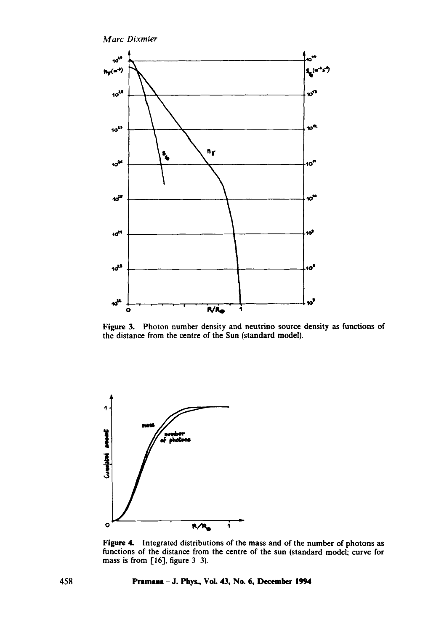

Figure 3. Photon number density and neutrino source density as functions of the distance from the centre of the Sun (standard model).



Figure 4. Integrated distributions of the mass and of the number of photons as functions of the distance from the centre of the sun (standard model: curve for mass is from  $[16]$ , figure 3-3).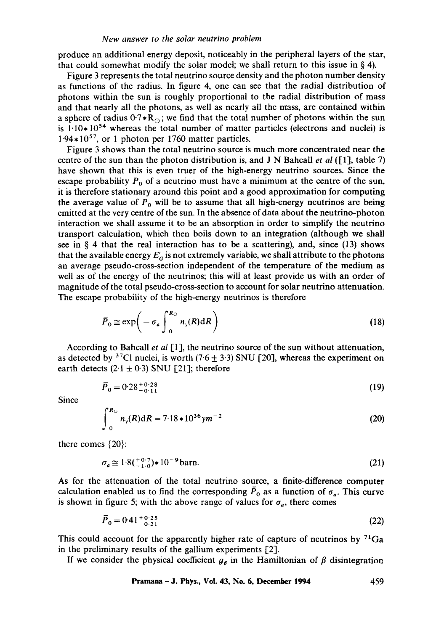produce an additional energy deposit, noticeably in the peripheral layers of the star, that could somewhat modify the solar model; we shall return to this issue in  $\S$  4).

Figure 3 represents the total neutrino source density and the photon number density as functions of the radius. In figure 4, one can see that the radial distribution of photons within the sun is roughly proportional to the radial distribution of mass and that nearly all the photons, as well as nearly all the mass, are contained within a sphere of radius  $0.7 * R_{\odot}$ ; we find that the total number of photons within the sun is  $1.10*10<sup>54</sup>$  whereas the total number of matter particles (electrons and nuclei) is  $1.94*10^{57}$ , or 1 photon per 1760 matter particles.

Figure 3 shows than the total neutrino source is much more concentrated near the centre of the sun than the photon distribution is, and J N Bahcall *et al* ([1], table 7) have shown that this is even truer of the high-energy neutrino sources. Since the escape probability  $P_0$  of a neutrino must have a minimum at the centre of the sun, it is therefore stationary around this point and a good approximation for computing the average value of  $P_0$  will be to assume that all high-energy neutrinos are being emitted at the very centre of the sun. In the absence of data about the neutrino-photon interaction we shall assume it to be an absorption in order to simplify the neutrino transport calculation, which then boils down to an integration (although we shall see in § 4 that the real interaction has to be a scattering), and, since  $(13)$  shows that the available energy  $E'_{\alpha}$  is not extremely variable, we shall attribute to the photons an average pseudo-cross-section independent of the temperature of the medium as well as of the energy of the neutrinos; this will at least provide us with an order of magnitude of the total pseudo-cross-section to account for solar neutrino attenuation. The escape probability of the high-energy neutrinos is therefore

$$
\overline{P}_0 \cong \exp\bigg(-\sigma_a \int_0^{R_{\odot}} n_{\gamma}(R) dR\bigg) \tag{18}
$$

According to Bahcall *et al* [1], the neutrino source of the sun without attenuation, as detected by <sup>37</sup>Cl nuclei, is worth (7.6  $\pm$  3.3) SNU [20], whereas the experiment on earth detects  $(2.1 \pm 0.3)$  SNU [21]; therefore

$$
\overline{P}_0 = 0.28^{+0.28}_{-0.11} \tag{19}
$$

Since

$$
\int_0^{R_{\odot}} n_{\gamma}(R) dR = 7.18 \times 10^{36} \gamma m^{-2}
$$
 (20)

there comes {20}:

$$
\sigma_a \approx 1.8(^{+0.7}_{-1.0}) \star 10^{-9} \,\text{barn.} \tag{21}
$$

As for the attenuation of the total neutrino source, a finite-difference computer calculation enabled us to find the corresponding  $\overline{P}_0$  as a function of  $\sigma_a$ . This curve is shown in figure 5; with the above range of values for  $\sigma_a$ , there comes

$$
\overline{P}_0 = 0.41^{+0.25}_{-0.21} \tag{22}
$$

This could account for the apparently higher rate of capture of neutrinos by  $^{71}Ga$ in the preliminary results of the gallium experiments [2].

If we consider the physical coefficient  $g_{\beta}$  in the Hamiltonian of  $\beta$  disintegration

Pramana – J. Phys., Vol. 43, No. 6, December 1994 
$$
459
$$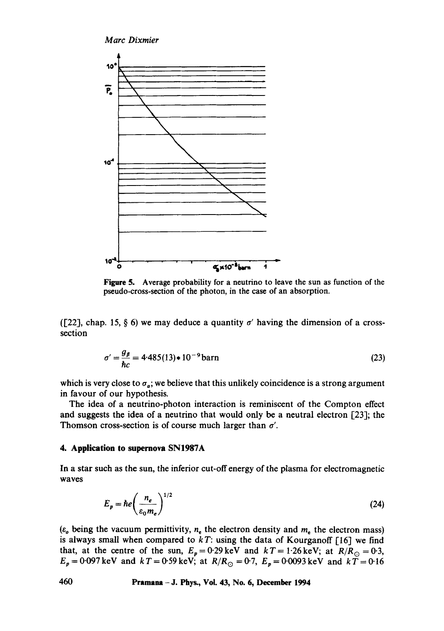

Figure 5. Average probability for a neutrino to leave the sun as function of the pseudo-cross-section of the photon, in the case of an absorption.

([22], chap. 15, § 6) we may deduce a quantity  $\sigma'$  having the dimension of a crosssection

$$
\sigma' = \frac{g_{\beta}}{\hbar c} = 4.485(13) * 10^{-9} \text{ barn}
$$
 (23)

which is very close to  $\sigma_a$ ; we believe that this unlikely coincidence is a strong argument in favour of our hypothesis.

The idea of a neutrino-photon interaction is reminiscent of the Compton effect and suggests the idea of a neutrino that would only be a neutral electron  $[23]$ ; the Thomson cross-section is of course much larger than  $\sigma'$ .

## **4. Application to supernova SNI987A**

In a star such as the sun, the inferior cut-off energy of the plasma for electromagnetic waves

$$
E_p = \hbar e \left( \frac{n_e}{\varepsilon_0 m_e} \right)^{1/2} \tag{24}
$$

( $\varepsilon_o$  being the vacuum permittivity,  $n_e$  the electron density and  $m_e$  the electron mass) is always small when compared to *kT:* using the data of Kourganoff [16] we find that, at the centre of the sun,  $E_p = 0.29 \,\text{keV}$  and  $kT = 1.26 \,\text{keV}$ ; at  $R/R_\odot = 0.3$ ,  $E_p = 0.097$  keV and  $kT = 0.59$  keV; at  $R/R_\odot = 0.7$ ,  $E_p = 0.0093$  keV and  $kT = 0.16$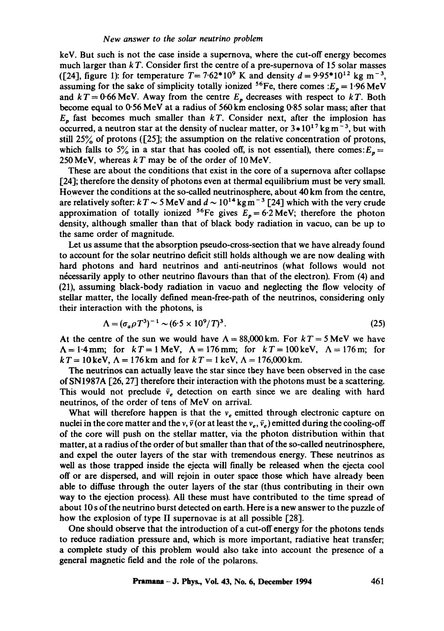keV. But such is not the case inside a supernova, where the cut-off energy becomes much larger than  $kT$ . Consider first the centre of a pre-supernova of 15 solar masses ([24], figure 1): for temperature  $T = 7.62*10^9$  K and density  $d = 9.95*10^{12}$  kg m<sup>-3</sup>, assuming for the sake of simplicity totally ionized <sup>56</sup>Fe, there comes : $E_p = 1.96$  MeV and  $kT = 0.66$  MeV. Away from the centre  $E<sub>p</sub>$  decreases with respect to  $kT$ . Both become equal to  $0.56$  MeV at a radius of  $560$  km enclosing  $0.85$  solar mass; after that  $E<sub>n</sub>$  fast becomes much smaller than  $kT$ . Consider next, after the implosion has occurred, a neutron star at the density of nuclear matter, or  $3*10^{17}$  kg m<sup>-3</sup>, but with still 25% of protons ([25]; the assumption on the relative concentration of protons, which falls to 5% in a star that has cooled off, is not essential), there comes:  $E_p =$ 250 MeV, whereas  $kT$  may be of the order of 10 MeV.

These are about the conditions that exist in the core of a supernova after collapse [24]; therefore the density of photons even at thermal equilibrium must be very small. However the conditions at the so-called neutrinosphere, about 40 km from the centre, are relatively softer:  $kT \sim 5$  MeV and  $d \sim 10^{14}$  kg m<sup>-3</sup> [24] which with the very crude approximation of totally ionized <sup>56</sup>Fe gives  $E_p = 6.2$  MeV; therefore the photon density, although smaller than that of black body radiation in vacuo, can be up to the same order of magnitude.

Let us assume that the absorption pseudo-cross-section that we have already found to account for the solar neutrino deficit still holds although we are now dealing with hard photons and hard neutrinos and anti-neutrinos (what follows would not necessarily apply to other neutrino flavours than that of the electron). From (4) and (21), assuming black-body radiation in vacuo and neglecting the flow velocity of stellar matter, the locally defined mean-free-path of the neutrinos, considering only their interaction with the photons, is

$$
\Lambda = (\sigma_a \rho T^3)^{-1} \sim (6.5 \times 10^9 / T)^3. \tag{25}
$$

At the centre of the sun we would have  $\Lambda = 88,000$  km. For  $kT = 5$  MeV we have  $\Lambda = 1.4$  mm; for  $kT = 1$  MeV,  $\Lambda = 176$  mm; for  $kT = 100$  keV,  $\Lambda = 176$  m; for  $kT = 10 \text{ keV}, \Lambda = 176 \text{ km}$  and for  $kT = 1 \text{ keV}, \Lambda = 176,000 \text{ km}.$ 

The neutrinos can actually leave the star since they have been observed in the case of SN1987A [26, 27] therefore their interaction with the photons must be a scattering. This would not preclude  $\bar{v}_e$  detection on earth since we are dealing with hard neutrinos, of the order of tens of MeV on arrival.

What will therefore happen is that the  $v_e$  emitted through electronic capture on nuclei in the core matter and the v,  $\bar{v}$  (or at least the  $v_e$ ,  $\bar{v}_e$ ) emitted during the cooling-off of the core will push on the stellar matter, via the photon distribution within that matter, at a radius of the order of but smaller than that of the so-called neutrinosphere, and expel the outer layers of the star with tremendous energy. These neutrinos as well as those trapped inside the ejecta will finally be released when the ejecta cool off or are dispersed, and will rejoin in outer space those which have already been able to diffuse through the outer layers of the star (thus contributing in their own way to the ejection process). All these must have contributed to the time spread of about 10 s of the neutrino burst detected on earth. Here is a new answer to the puzzle of how the explosion of type II supernovae is at all possible [28].

One should observe that the introduction of a cut-off energy for the photons tends to reduce radiation pressure and, which is more important, radiative heat transfer; a complete study of this problem would also take into account the presence of a general magnetic field and the role of the polarons.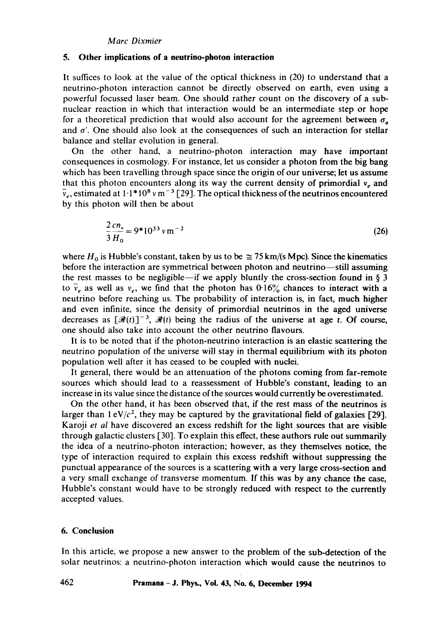#### **5. Other implications of a neutrino-photon interaction**

It suffices to look at the value of the optical thickness in (20) to understand that a neutrino-photon interaction cannot be directly observed on earth, even using a powerful focussed laser beam. One should rather count on the discovery of a subnuclear reaction in which that interaction would be an intermediate step or hope for a theoretical prediction that would also account for the agreement between  $\sigma_a$ and  $\sigma'$ . One should also look at the consequences of such an interaction for stellar balance and stellar evolution in general.

On the other hand, a neutrino-photon interaction may have important consequences in cosmology. For instance, let us consider a photon from the big bang which has been travelling through space since the origin of our universe; let us assume that this photon encounters along its way the current density of primordial  $v_e$  and  $\bar{v}_e$ , estimated at 1.1\*10<sup>8</sup> v m<sup>-3</sup> [29]. The optical thickness of the neutrinos encountered by this photon will then be about

$$
\frac{2\,cn_{\nu}}{3\,H_{0}} = 9*10^{33}\,\nu\,\mathrm{m}^{-2} \tag{26}
$$

where H<sub>0</sub> is Hubble's constant, taken by us to be  $\approx$  75 km/(s Mpc). Since the kinematics before the interaction are symmetrical between photon and neutrino--still assuming the rest masses to be negligible—if we apply bluntly the cross-section found in  $\S 3$ to  $\bar{v}_e$  as well as  $v_e$ , we find that the photon has  $0.16\%$  chances to interact with a neutrino before reaching us. The probability of interaction is, in fact, much higher and even infinite, since the density of primordial neutrinos in the aged universe decreases as  $[\mathcal{R}(t)]^{-3}$ ,  $\mathcal{R}(t)$  being the radius of the universe at age t. Of course, one should also take into account the other neutrino flavours.

It is to be noted that if the photon-neutrino interaction is an elastic scattering the neutrino population of the universe will stay in thermal equilibrium with its photon population well after it has ceased to be coupled with nuclei.

It general, there would be an attenuation of the photons coming from far-remote sources which should lead to a reassessment of Hubble's constant, leading to an increase in its value since the distance of the sources would currently be overestimated.

On the other hand, it has been observed that, if the rest mass of the neutrinos is larger than  $1 \frac{eV}{c^2}$ , they may be captured by the gravitational field of galaxies [29]. Karoji *et al* have discovered an excess redshift for the light sources that are visible through galactic clusters [30]. To explain this effect, these authors rule out summarily the idea of a neutrino-photon interaction; however, as they themselves notice, the type of interaction required to explain this excess redshift without suppressing **the**  punctual appearance of the sources is a scattering with a very large cross-section and a very small exchange of transverse momentum. If this was by any chance the ease, Hubble's constant would have to be strongly reduced with respect to the currently accepted values.

# **6. Conclusion**

In this article, we propose a new answer to the problem of the sub-detection of the solar neutrinos: a neutrino-photon interaction which would cause the neutrinos to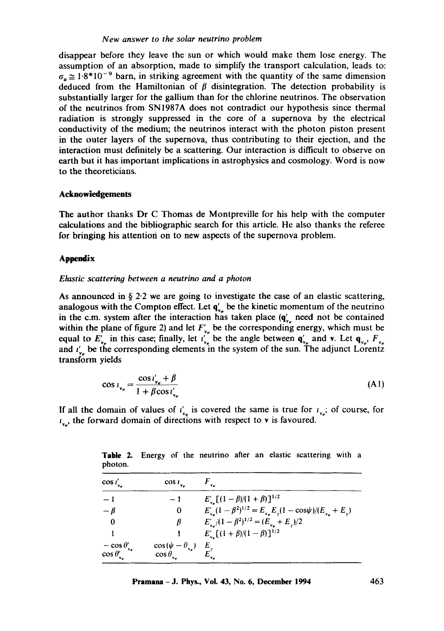# *New answer to the solar neutrino problem*

disappear before they leave the sun or which would make them lose energy. The assumption of an absorption, made to simplify the transport calculation, leads to:  $\sigma_a \approx 1.8*10^{-9}$  barn, in striking agreement with the quantity of the same dimension deduced from the Hamiltonian of  $\beta$  disintegration. The detection probability is substantially larger for the gallium than for the chlorine neutrinos. The observation of the neutrinos from SN1987A does not contradict our hypothesis since thermal radiation is strongly suppressed in the core of a supernova by the electrical conductivity of the medium; the neutrinos interact with the photon piston present in the outer layers of the supernova, thus contributing to their ejection, and the interaction must definitely be a scattering. Our interaction is difficult to observe on earth but it has important implications in astrophysics and cosmology. Word is now to the theoreticians.

## **Acknowledgements**

The author thanks Dr C Thomas de Montpreville for his help with the computer calculations and the bibliographic search for this article. He also thanks the referee for bringing his attention on to new aspects of the supernova problem.

#### **Appendix**

#### *Elastic scattering between a neutrino and a photon*

As announced in  $\S 2.2$  we are going to investigate the case of an elastic scattering, analogous with the Compton effect. Let  $q'_{v_e}$  be the kinetic momentum of the neutrino in the c.m. system after the interaction has taken place  $(q'_v)$  need not be contained within the plane of figure 2) and let  $F'_{y}$  be the corresponding energy, which must be equal to  $E'_{v_e}$  in this case; finally, let  $i'_{v_e}$  be the angle between  $\mathbf{q}'_{v_e}$  and v. Let  $\mathbf{q}_{v_e}$ ,  $F_{v_e}$  and  $i'_{v_e}$  be the corresponding elements in the system of the sun. The adjunct Lorentz transform yields

$$
\cos i_{\nu_e} = \frac{\cos i'_{\nu_e} + \beta}{1 + \beta \cos i'_{\nu_e}}\tag{A1}
$$

If all the domain of values of  $i'_{\nu_e}$  is covered the same is true for  $i_{\nu_e}$ ; of course, for  $i_{v_e}$ , the forward domain of directions with respect to v is favoured.

| pholon.                                            |                                                   |                                                                              |  |  |
|----------------------------------------------------|---------------------------------------------------|------------------------------------------------------------------------------|--|--|
| $\cos i'_{\text{v}_e}$                             | $\cos i_{\nu_e}$                                  |                                                                              |  |  |
| $-1$                                               |                                                   | $E'_{v_n}[(1-\beta)/(1+\beta)]^{1/2}$                                        |  |  |
| $-\beta$                                           | 0                                                 | $E'_{v} (1 - \beta^2)^{1/2} = E_{v_e} E_y (1 - \cos \psi) / (E_{v_e} + E_y)$ |  |  |
| 0                                                  | β                                                 | $E'_{v_{e}}/(1-\beta^2)^{1/2} = (E_{v_{e}} + E_{v})/2$                       |  |  |
|                                                    |                                                   | $E'_{v_{\alpha}}[(1+\beta)/(1-\beta)]^{1/2}$                                 |  |  |
| $-\cos\theta'_{\nu_e}$<br>$\cos \theta'_{\rm v_e}$ | $\cos(\psi - \theta_{v_e})$<br>$\cos\theta_{v_e}$ | $E_{\nu_e}$                                                                  |  |  |

Table 2. Energy of the neutrino after an elastic scattering with a photon.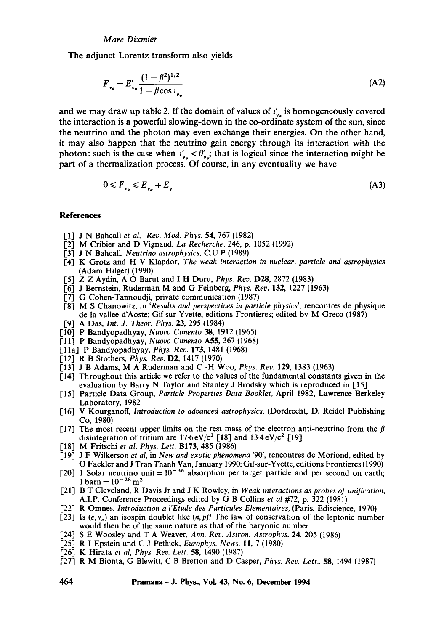The adjunct Lorentz transform also yields

$$
F_{v_e} = E'_{v_e} \frac{(1 - \beta^2)^{1/2}}{1 - \beta \cos i_{v_e}}
$$
 (A2)

and we may draw up table 2. If the domain of values of  $i'_{\nu}$  is homogeneously covered the interaction is a powerful slowing-down in the co-ordinate system of the sun, since the neutrino and the photon may even exchange their energies. On the other hand, it may also happen that the neutrino gain energy through its interaction with the photon: such is the case when  $t'_{\mathbf{v}_e} < \theta'_{\mathbf{v}_e}$ ; that is logical since the interaction might be part of a thermalization process. Of course, in any eventuality we have

 $0 \leq F_{v_{n}} \leq E_{v_{n}} + E_{v_{n}}$  (A3)

## **References**

- [1] J N Bahcall *et al, Rev. Mod. Phys.* 54, 767 (1982)
- [2] M Cribier and D Vignaud, La *Recherche,* 246, p. 1052 (1992)
- [3] J N Bahcall, *Neutrino astrophysics,* C.U.P (1989)
- [4] K Grotz and H V Klapdor, *The weak interaction in nuclear, particle and astrophysics*  (Adam Hilger) (1990)
- [5] Z Z Aydin, A O Barut and I H Duru, *Phys. Rev.* D28, 2872 (1983)
- [6] J Bernstein, Ruderman M and G Feinberg, *Phys. Rev.* 132, 1227 (1963)
- [7] G Cohen-Tannoudji, private communication (1987)
- [8] M S Chanowitz, in *"Results and perspectives in particle physics',* rencontres de physique de la vallee d'Aoste; Gif-sur-Yvette, editions Frontieres; edited by M Greco (1987)
- [9] A Das, *Int. J. Theor. Phys.* 23, 295 (1984)
- [10] P Bandyopadhyay, *Nuovo Cimento 38,* 1912 (1965)
- [11] P Bandyopadhyay, *Nuovo Cimento* A55, 367 (1968)
- [1 la] P Bandyopadhyay, *Phys. Rev.* 173, 1481 (1968)
- [12] R B Stothers, *Phys. Rev.* D2, 1417 (1970)
- [13] J B Adams, M A Ruderman and C -H Woo, *Phys. Rev.* 129, 1383 (1963)
- [14] Throughout this article we refer to the values of the fundamental constants given in the evaluation by Barry N Taylor and Stanley J Brodsky which is reproduced in [15]
- [15] Particle Data Group, *Particle Properties Data Booklet,* April 1982, Lawrence Berkeley Laboratory, 1982
- [16] V Kourganoff, *Introduction to advanced astrophysics,* (Dordrecht, D. Reidel Publishing Co, 1980)
- [17] The most recent upper limits on the rest mass of the electron anti-neutrino from the  $\beta$ disintegration of tritium are  $17.6 \text{ eV}/c^2$  [18] and  $13.4 \text{ eV}/c^2$  [19]
- [18] M Fritschi *et al, Phys. Lett.* B173, 485 (1986)
- [19] J F Wilkerson *et al,* in *New and exotic phenomena* '90', rencontres de Moriond, edited by O Fackler and J Tran Thanh Van, January 1990; Gif-sur-Yvette, editions Frontieres (1990)
- [20] 1 Solar neutrino unit =  $10^{-36}$  absorption per target particle and per second on earth; 1 barn =  $10^{-28}$  m<sup>2</sup>
- [21] B T Cleveland, R Davis Jr and J K Rowley, in *Weak interactions as probes of unification,*  A.I.P. Conference Proceedings edited by G B Collins *et al* #72, p. 322 (1981)
- [22] R Omnes, *Introduction a l'Etude des Particules Elementaires,* (Paris, Ediscience, 1970)
- [23] Is  $(e, v<sub>e</sub>)$  an isospin doublet like  $(n, p)$ ? The law of conservation of the leptonic number would then be of the same nature as that of the baryonic number
- [24] S E Woosley and T A Weaver, *Ann. Rev. Astron. Astrophys.* 24, 205 (1986)
- [25] R I Epstein and C J Pethick, *Europhys. News,* 11, 7 (1980)
- [26] K Hirata et al, Phys. Rev. Lett. **58**, 1490 (1987)
- [27] R M Bionta, G Blewitt, C B Bretton and D Casper, *Phys. Rev. Lett.,* 58, 1494 (1987)